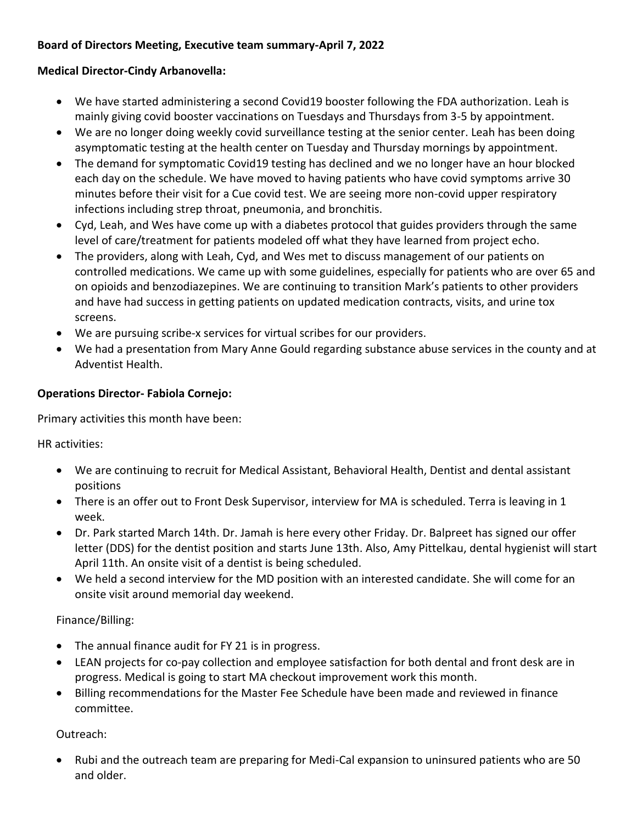### **Board of Directors Meeting, Executive team summary-April 7, 2022**

### **Medical Director-Cindy Arbanovella:**

- We have started administering a second Covid19 booster following the FDA authorization. Leah is mainly giving covid booster vaccinations on Tuesdays and Thursdays from 3-5 by appointment.
- We are no longer doing weekly covid surveillance testing at the senior center. Leah has been doing asymptomatic testing at the health center on Tuesday and Thursday mornings by appointment.
- The demand for symptomatic Covid19 testing has declined and we no longer have an hour blocked each day on the schedule. We have moved to having patients who have covid symptoms arrive 30 minutes before their visit for a Cue covid test. We are seeing more non-covid upper respiratory infections including strep throat, pneumonia, and bronchitis.
- Cyd, Leah, and Wes have come up with a diabetes protocol that guides providers through the same level of care/treatment for patients modeled off what they have learned from project echo.
- The providers, along with Leah, Cyd, and Wes met to discuss management of our patients on controlled medications. We came up with some guidelines, especially for patients who are over 65 and on opioids and benzodiazepines. We are continuing to transition Mark's patients to other providers and have had success in getting patients on updated medication contracts, visits, and urine tox screens.
- We are pursuing scribe-x services for virtual scribes for our providers.
- We had a presentation from Mary Anne Gould regarding substance abuse services in the county and at Adventist Health.

### **Operations Director- Fabiola Cornejo:**

Primary activities this month have been:

HR activities:

- We are continuing to recruit for Medical Assistant, Behavioral Health, Dentist and dental assistant positions
- There is an offer out to Front Desk Supervisor, interview for MA is scheduled. Terra is leaving in 1 week.
- Dr. Park started March 14th. Dr. Jamah is here every other Friday. Dr. Balpreet has signed our offer letter (DDS) for the dentist position and starts June 13th. Also, Amy Pittelkau, dental hygienist will start April 11th. An onsite visit of a dentist is being scheduled.
- We held a second interview for the MD position with an interested candidate. She will come for an onsite visit around memorial day weekend.

# Finance/Billing:

- The annual finance audit for FY 21 is in progress.
- LEAN projects for co-pay collection and employee satisfaction for both dental and front desk are in progress. Medical is going to start MA checkout improvement work this month.
- Billing recommendations for the Master Fee Schedule have been made and reviewed in finance committee.

Outreach:

 Rubi and the outreach team are preparing for Medi-Cal expansion to uninsured patients who are 50 and older.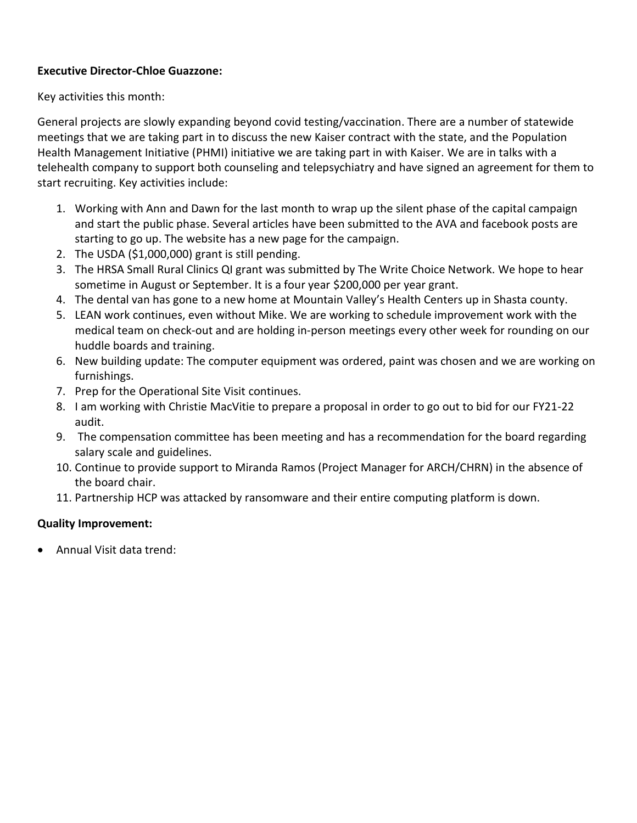### **Executive Director-Chloe Guazzone:**

Key activities this month:

General projects are slowly expanding beyond covid testing/vaccination. There are a number of statewide meetings that we are taking part in to discuss the new Kaiser contract with the state, and the Population Health Management Initiative (PHMI) initiative we are taking part in with Kaiser. We are in talks with a telehealth company to support both counseling and telepsychiatry and have signed an agreement for them to start recruiting. Key activities include:

- 1. Working with Ann and Dawn for the last month to wrap up the silent phase of the capital campaign and start the public phase. Several articles have been submitted to the AVA and facebook posts are starting to go up. The website has a new page for the campaign.
- 2. The USDA (\$1,000,000) grant is still pending.
- 3. The HRSA Small Rural Clinics QI grant was submitted by The Write Choice Network. We hope to hear sometime in August or September. It is a four year \$200,000 per year grant.
- 4. The dental van has gone to a new home at Mountain Valley's Health Centers up in Shasta county.
- 5. LEAN work continues, even without Mike. We are working to schedule improvement work with the medical team on check-out and are holding in-person meetings every other week for rounding on our huddle boards and training.
- 6. New building update: The computer equipment was ordered, paint was chosen and we are working on furnishings.
- 7. Prep for the Operational Site Visit continues.
- 8. I am working with Christie MacVitie to prepare a proposal in order to go out to bid for our FY21-22 audit.
- 9. The compensation committee has been meeting and has a recommendation for the board regarding salary scale and guidelines.
- 10. Continue to provide support to Miranda Ramos (Project Manager for ARCH/CHRN) in the absence of the board chair.
- 11. Partnership HCP was attacked by ransomware and their entire computing platform is down.

# **Quality Improvement:**

Annual Visit data trend: